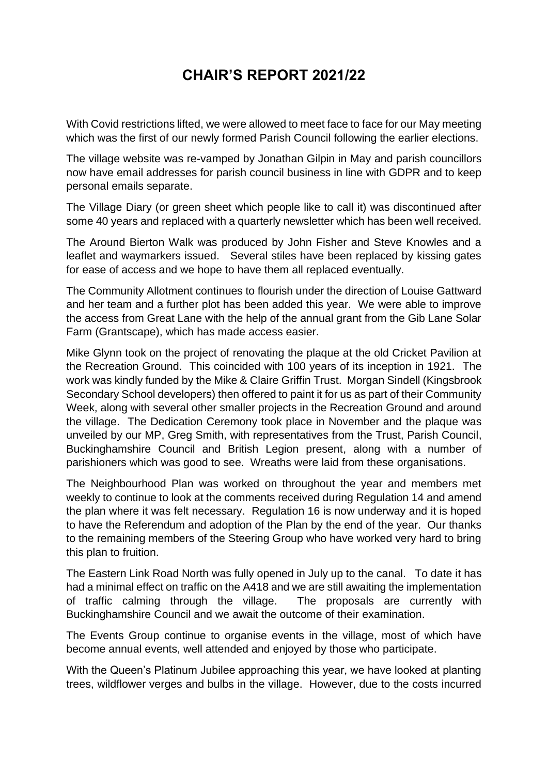## **CHAIR'S REPORT 2021/22**

With Covid restrictions lifted, we were allowed to meet face to face for our May meeting which was the first of our newly formed Parish Council following the earlier elections.

The village website was re-vamped by Jonathan Gilpin in May and parish councillors now have email addresses for parish council business in line with GDPR and to keep personal emails separate.

The Village Diary (or green sheet which people like to call it) was discontinued after some 40 years and replaced with a quarterly newsletter which has been well received.

The Around Bierton Walk was produced by John Fisher and Steve Knowles and a leaflet and waymarkers issued. Several stiles have been replaced by kissing gates for ease of access and we hope to have them all replaced eventually.

The Community Allotment continues to flourish under the direction of Louise Gattward and her team and a further plot has been added this year. We were able to improve the access from Great Lane with the help of the annual grant from the Gib Lane Solar Farm (Grantscape), which has made access easier.

Mike Glynn took on the project of renovating the plaque at the old Cricket Pavilion at the Recreation Ground. This coincided with 100 years of its inception in 1921. The work was kindly funded by the Mike & Claire Griffin Trust. Morgan Sindell (Kingsbrook Secondary School developers) then offered to paint it for us as part of their Community Week, along with several other smaller projects in the Recreation Ground and around the village. The Dedication Ceremony took place in November and the plaque was unveiled by our MP, Greg Smith, with representatives from the Trust, Parish Council, Buckinghamshire Council and British Legion present, along with a number of parishioners which was good to see. Wreaths were laid from these organisations.

The Neighbourhood Plan was worked on throughout the year and members met weekly to continue to look at the comments received during Regulation 14 and amend the plan where it was felt necessary. Regulation 16 is now underway and it is hoped to have the Referendum and adoption of the Plan by the end of the year. Our thanks to the remaining members of the Steering Group who have worked very hard to bring this plan to fruition.

The Eastern Link Road North was fully opened in July up to the canal. To date it has had a minimal effect on traffic on the A418 and we are still awaiting the implementation of traffic calming through the village. The proposals are currently with Buckinghamshire Council and we await the outcome of their examination.

The Events Group continue to organise events in the village, most of which have become annual events, well attended and enjoyed by those who participate.

With the Queen's Platinum Jubilee approaching this year, we have looked at planting trees, wildflower verges and bulbs in the village. However, due to the costs incurred